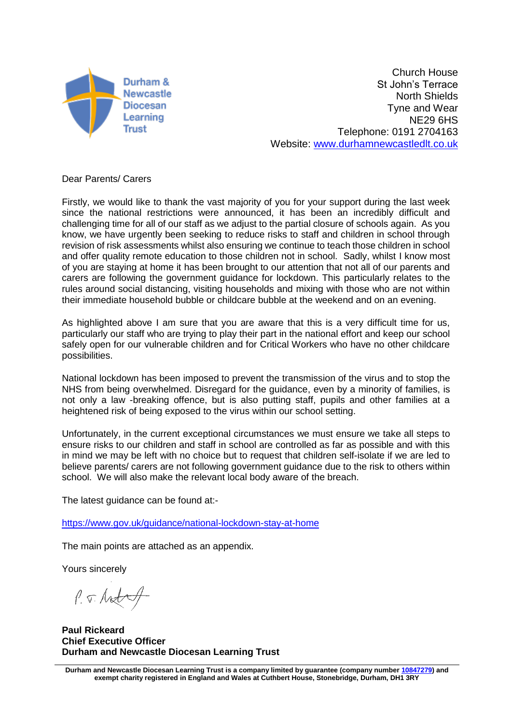

Church House St John's Terrace North Shields Tyne and Wear NE29 6HS Telephone: 0191 2704163 Website: [www.durhamnewcastledlt.co.uk](http://www.durhamnewcastledlt.co.uk/)

Dear Parents/ Carers

Firstly, we would like to thank the vast majority of you for your support during the last week since the national restrictions were announced, it has been an incredibly difficult and challenging time for all of our staff as we adjust to the partial closure of schools again. As you know, we have urgently been seeking to reduce risks to staff and children in school through revision of risk assessments whilst also ensuring we continue to teach those children in school and offer quality remote education to those children not in school. Sadly, whilst I know most of you are staying at home it has been brought to our attention that not all of our parents and carers are following the government guidance for lockdown. This particularly relates to the rules around social distancing, visiting households and mixing with those who are not within their immediate household bubble or childcare bubble at the weekend and on an evening.

As highlighted above I am sure that you are aware that this is a very difficult time for us, particularly our staff who are trying to play their part in the national effort and keep our school safely open for our vulnerable children and for Critical Workers who have no other childcare possibilities.

National lockdown has been imposed to prevent the transmission of the virus and to stop the NHS from being overwhelmed. Disregard for the guidance, even by a minority of families, is not only a law -breaking offence, but is also putting staff, pupils and other families at a heightened risk of being exposed to the virus within our school setting.

Unfortunately, in the current exceptional circumstances we must ensure we take all steps to ensure risks to our children and staff in school are controlled as far as possible and with this in mind we may be left with no choice but to request that children self-isolate if we are led to believe parents/ carers are not following government guidance due to the risk to others within school. We will also make the relevant local body aware of the breach.

The latest guidance can be found at:-

<https://www.gov.uk/guidance/national-lockdown-stay-at-home>

The main points are attached as an appendix.

Yours sincerely

P. J. Antal

**Paul Rickeard Chief Executive Officer Durham and Newcastle Diocesan Learning Trust**

**Durham and Newcastle Diocesan Learning Trust is a company limited by guarantee (company number [10847279\)](tel:10847279) and exempt charity registered in England and Wales at Cuthbert House, Stonebridge, Durham, DH1 3RY**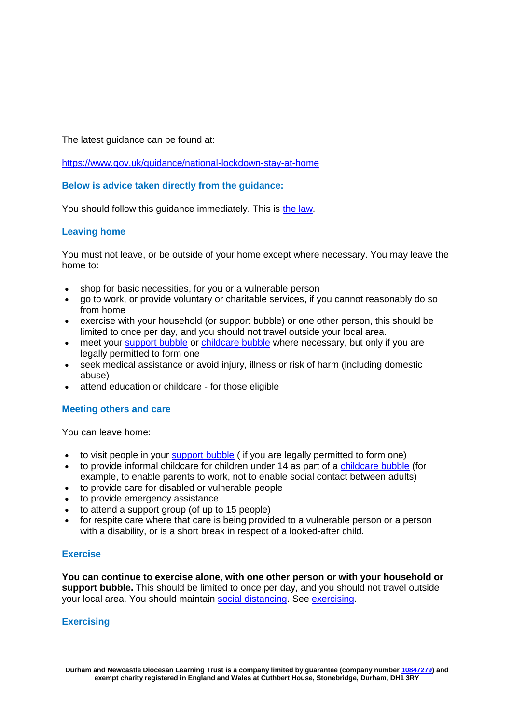The latest guidance can be found at:

<https://www.gov.uk/guidance/national-lockdown-stay-at-home>

# **Below is advice taken directly from the guidance:**

You should follow this guidance immediately. This is [the law.](https://www.legislation.gov.uk/uksi/2020/1374/contents)

# **Leaving home**

You must not leave, or be outside of your home except where necessary. You may leave the home to:

- shop for basic necessities, for you or a vulnerable person
- go to work, or provide voluntary or charitable services, if you cannot reasonably do so from home
- exercise with your household (or support bubble) or one other person, this should be limited to once per day, and you should not travel outside your local area.
- meet your [support bubble](https://www.gov.uk/guidance/making-a-support-bubble-with-another-household) or [childcare bubble](https://www.gov.uk/guidance/making-a-childcare-bubble-with-another-household) where necessary, but only if you are legally permitted to form one
- seek medical assistance or avoid injury, illness or risk of harm (including domestic abuse)
- attend education or childcare for those eligible

# **Meeting others and care**

You can leave home:

- to visit people in your [support bubble](https://www.gov.uk/guidance/making-a-support-bubble-with-another-household) ( if you are legally permitted to form one)
- to provide informal childcare for children under 14 as part of a [childcare bubble](https://www.gov.uk/guidance/making-a-childcare-bubble-with-another-household) (for example, to enable parents to work, not to enable social contact between adults)
- to provide care for disabled or vulnerable people
- to provide emergency assistance
- to attend a support group (of up to 15 people)
- for respite care where that care is being provided to a vulnerable person or a person with a disability, or is a short break in respect of a looked-after child.

#### **Exercise**

**You can continue to exercise alone, with one other person or with your household or support bubble.** This should be limited to once per day, and you should not travel outside your local area. You should maintain [social distancing.](https://www.gov.uk/government/publications/coronavirus-covid-19-meeting-with-others-safely-social-distancing/coronavirus-covid-19-meeting-with-others-safely-social-distancing) See [exercising.](https://www.gov.uk/guidance/national-lockdown-stay-at-home#exercising)

# **Exercising**

**Durham and Newcastle Diocesan Learning Trust is a company limited by guarantee (company number [10847279\)](tel:10847279) and exempt charity registered in England and Wales at Cuthbert House, Stonebridge, Durham, DH1 3RY**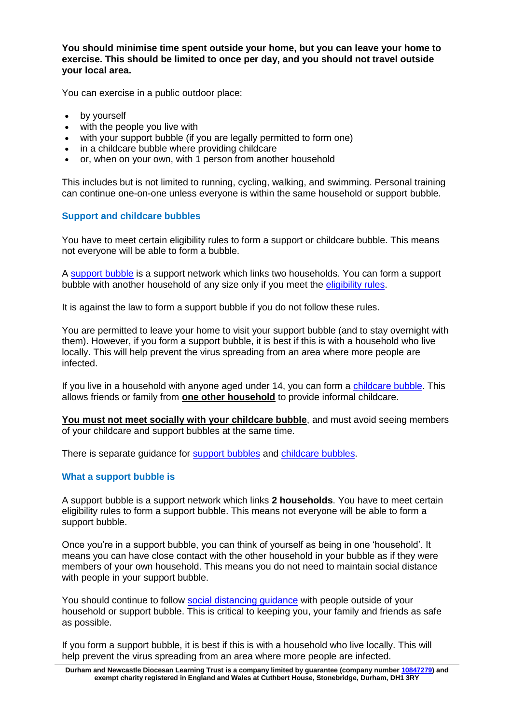**You should minimise time spent outside your home, but you can leave your home to exercise. This should be limited to once per day, and you should not travel outside your local area.**

You can exercise in a public outdoor place:

- by yourself
- with the people you live with
- with your support bubble (if you are legally permitted to form one)
- in a childcare bubble where providing childcare
- or, when on your own, with 1 person from another household

This includes but is not limited to running, cycling, walking, and swimming. Personal training can continue one-on-one unless everyone is within the same household or support bubble.

## **Support and childcare bubbles**

You have to meet certain eligibility rules to form a support or childcare bubble. This means not everyone will be able to form a bubble.

A [support bubble](https://www.gov.uk/guidance/making-a-support-bubble-with-another-household#who-can-make-a-support-bubble) is a support network which links two households. You can form a support bubble with another household of any size only if you meet the [eligibility rules.](https://www.gov.uk/guidance/making-a-support-bubble-with-another-household#who-can-make-a-support-bubble)

It is against the law to form a support bubble if you do not follow these rules.

You are permitted to leave your home to visit your support bubble (and to stay overnight with them). However, if you form a support bubble, it is best if this is with a household who live locally. This will help prevent the virus spreading from an area where more people are infected.

If you live in a household with anyone aged under 14, you can form a [childcare bubble.](https://www.gov.uk/guidance/making-a-childcare-bubble-with-another-household) This allows friends or family from **one other household** to provide informal childcare.

**You must not meet socially with your childcare bubble**, and must avoid seeing members of your childcare and support bubbles at the same time.

There is separate guidance for [support bubbles](https://www.gov.uk/guidance/making-a-support-bubble-with-another-household) and [childcare bubbles.](https://www.gov.uk/guidance/making-a-childcare-bubble-with-another-household)

#### **What a support bubble is**

A support bubble is a support network which links **2 households**. You have to meet certain eligibility rules to form a support bubble. This means not everyone will be able to form a support bubble.

Once you're in a support bubble, you can think of yourself as being in one 'household'. It means you can have close contact with the other household in your bubble as if they were members of your own household. This means you do not need to maintain social distance with people in your support bubble.

You should continue to follow [social distancing guidance](https://www.gov.uk/government/publications/coronavirus-covid-19-meeting-with-others-safely-social-distancing) with people outside of your household or support bubble. This is critical to keeping you, your family and friends as safe as possible.

If you form a support bubble, it is best if this is with a household who live locally. This will help prevent the virus spreading from an area where more people are infected.